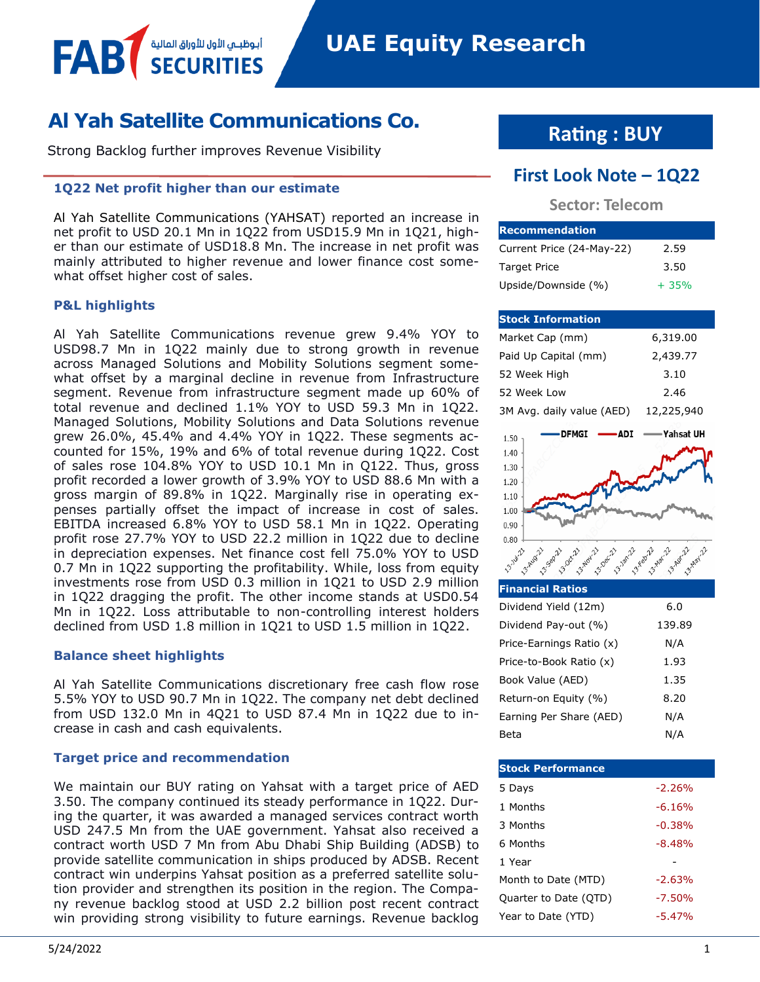## **Al Yah Satellite Communications Co.**

Strong Backlog further improves Revenue Visibility

أبوظبــي الأول للأوراق المالية

#### **1Q22 Net profit higher than our estimate**

Al Yah Satellite Communications (YAHSAT) reported an increase in net profit to USD 20.1 Mn in 1Q22 from USD15.9 Mn in 1Q21, higher than our estimate of USD18.8 Mn. The increase in net profit was mainly attributed to higher revenue and lower finance cost somewhat offset higher cost of sales.

#### **P&L highlights**

FAB

Al Yah Satellite Communications revenue grew 9.4% YOY to USD98.7 Mn in 1Q22 mainly due to strong growth in revenue across Managed Solutions and Mobility Solutions segment somewhat offset by a marginal decline in revenue from Infrastructure segment. Revenue from infrastructure segment made up 60% of total revenue and declined 1.1% YOY to USD 59.3 Mn in 1Q22. Managed Solutions, Mobility Solutions and Data Solutions revenue grew 26.0%, 45.4% and 4.4% YOY in 1Q22. These segments accounted for 15%, 19% and 6% of total revenue during 1Q22. Cost of sales rose 104.8% YOY to USD 10.1 Mn in Q122. Thus, gross profit recorded a lower growth of 3.9% YOY to USD 88.6 Mn with a gross margin of 89.8% in 1Q22. Marginally rise in operating expenses partially offset the impact of increase in cost of sales. EBITDA increased 6.8% YOY to USD 58.1 Mn in 1Q22. Operating profit rose 27.7% YOY to USD 22.2 million in 1Q22 due to decline in depreciation expenses. Net finance cost fell 75.0% YOY to USD 0.7 Mn in 1Q22 supporting the profitability. While, loss from equity investments rose from USD 0.3 million in 1Q21 to USD 2.9 million in 1Q22 dragging the profit. The other income stands at USD0.54 Mn in 1Q22. Loss attributable to non-controlling interest holders declined from USD 1.8 million in 1Q21 to USD 1.5 million in 1Q22.

#### **Balance sheet highlights**

Al Yah Satellite Communications discretionary free cash flow rose 5.5% YOY to USD 90.7 Mn in 1Q22. The company net debt declined from USD 132.0 Mn in 4Q21 to USD 87.4 Mn in 1Q22 due to increase in cash and cash equivalents.

#### **Target price and recommendation**

We maintain our BUY rating on Yahsat with a target price of AED 3.50. The company continued its steady performance in 1Q22. During the quarter, it was awarded a managed services contract worth USD 247.5 Mn from the UAE government. Yahsat also received a contract worth USD 7 Mn from Abu Dhabi Ship Building (ADSB) to provide satellite communication in ships produced by ADSB. Recent contract win underpins Yahsat position as a preferred satellite solution provider and strengthen its position in the region. The Company revenue backlog stood at USD 2.2 billion post recent contract win providing strong visibility to future earnings. Revenue backlog

**Rating : BUY**

## **First Look Note – 1Q22**

#### **Sector: Telecom**

| <b>Recommendation</b>     |        |  |  |  |  |  |
|---------------------------|--------|--|--|--|--|--|
| Current Price (24-May-22) | 2.59   |  |  |  |  |  |
| <b>Target Price</b>       | 3.50   |  |  |  |  |  |
| Upside/Downside (%)       | $+35%$ |  |  |  |  |  |

| <b>Stock Information</b>           |                              |
|------------------------------------|------------------------------|
| Market Cap (mm)                    | 6,319.00                     |
| Paid Up Capital (mm)               | 2,439.77                     |
| 52 Week High                       | 3.10                         |
| 52 Week Low                        | 2.46                         |
| 3M Avg. daily value (AED)          | 12,225,940                   |
| <b>DFMGI</b><br>ADI<br>1.50        | ∙Yahsat UH                   |
| 1.40                               |                              |
| 1.30                               |                              |
| 1.20                               |                              |
| 1.10                               |                              |
| 1.00                               |                              |
| 0.90                               |                              |
| 0.80                               |                              |
| <b>13.14-2</b><br>3-Jan<br>3-0 ec. | 3-Apr-4-Angy-2<br>3-February |
|                                    |                              |

| <b>Financial Ratios</b>  |        |
|--------------------------|--------|
| Dividend Yield (12m)     | 6.0    |
| Dividend Pay-out (%)     | 139.89 |
| Price-Earnings Ratio (x) | N/A    |
| Price-to-Book Ratio (x)  | 1.93   |
| Book Value (AED)         | 1.35   |
| Return-on Equity (%)     | 8.20   |
| Earning Per Share (AED)  | N/A    |
| Beta                     | N/A    |

| <b>Stock Performance</b> |          |
|--------------------------|----------|
| 5 Days                   | $-2.26%$ |
| 1 Months                 | $-6.16%$ |
| 3 Months                 | $-0.38%$ |
| 6 Months                 | $-8.48%$ |
| 1 Year                   |          |
| Month to Date (MTD)      | $-2.63%$ |
| Quarter to Date (QTD)    | $-7.50%$ |
| Year to Date (YTD)       | $-5.47%$ |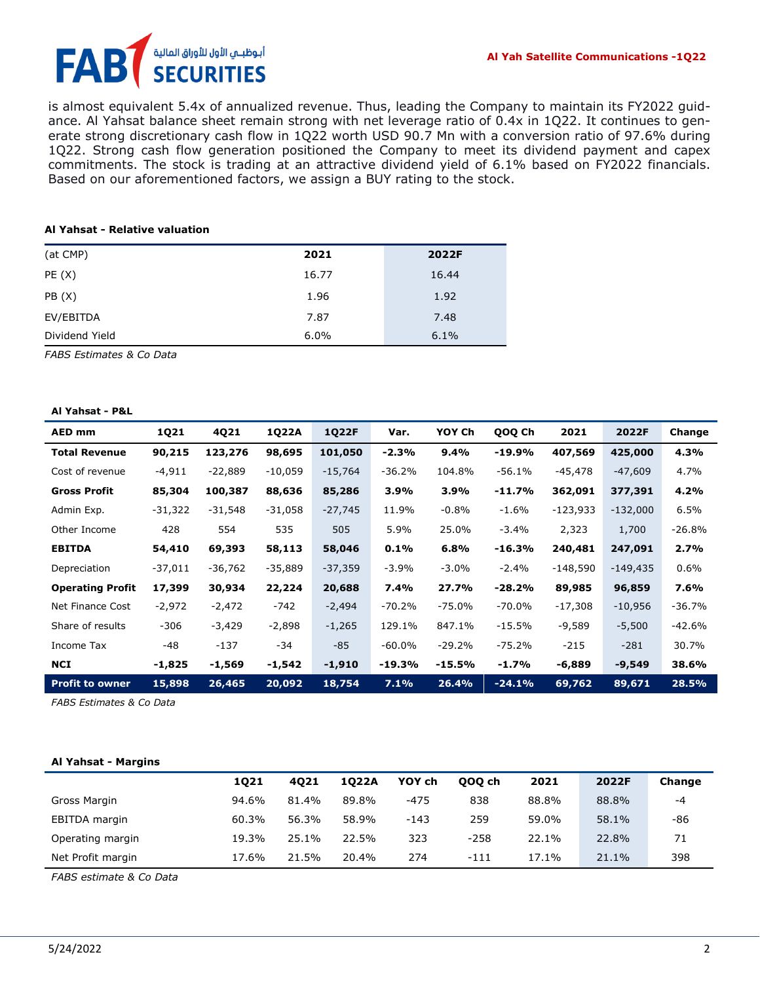# أبوظبـي الأول للأوراق المالية<br>SECURITIES FA

is almost equivalent 5.4x of annualized revenue. Thus, leading the Company to maintain its FY2022 guidance. Al Yahsat balance sheet remain strong with net leverage ratio of 0.4x in 1Q22. It continues to generate strong discretionary cash flow in 1Q22 worth USD 90.7 Mn with a conversion ratio of 97.6% during 1Q22. Strong cash flow generation positioned the Company to meet its dividend payment and capex commitments. The stock is trading at an attractive dividend yield of 6.1% based on FY2022 financials. Based on our aforementioned factors, we assign a BUY rating to the stock.

#### **Al Yahsat - Relative valuation**

| (at CMP)       | 2021  | 2022F |
|----------------|-------|-------|
| PE(X)          | 16.77 | 16.44 |
| PB(X)          | 1.96  | 1.92  |
| EV/EBITDA      | 7.87  | 7.48  |
| Dividend Yield | 6.0%  | 6.1%  |

*FABS Estimates & Co Data*

#### **Al Yahsat - P&L**

| AED mm                  | <b>1Q21</b> | 4Q21     | 1Q22A     | <b>1Q22F</b> | Var.      | YOY Ch    | QOQ Ch    | 2021       | 2022F      | Change   |
|-------------------------|-------------|----------|-----------|--------------|-----------|-----------|-----------|------------|------------|----------|
| <b>Total Revenue</b>    | 90,215      | 123,276  | 98,695    | 101,050      | $-2.3%$   | 9.4%      | $-19.9%$  | 407,569    | 425,000    | 4.3%     |
| Cost of revenue         | $-4,911$    | -22,889  | $-10,059$ | $-15,764$    | $-36.2%$  | 104.8%    | $-56.1%$  | $-45,478$  | $-47,609$  | 4.7%     |
| <b>Gross Profit</b>     | 85,304      | 100,387  | 88,636    | 85,286       | 3.9%      | 3.9%      | $-11.7%$  | 362,091    | 377,391    | 4.2%     |
| Admin Exp.              | $-31,322$   | -31,548  | $-31,058$ | $-27,745$    | 11.9%     | $-0.8\%$  | $-1.6%$   | $-123,933$ | $-132,000$ | 6.5%     |
| Other Income            | 428         | 554      | 535       | 505          | 5.9%      | 25.0%     | $-3.4%$   | 2,323      | 1,700      | $-26.8%$ |
| <b>EBITDA</b>           | 54,410      | 69,393   | 58,113    | 58,046       | 0.1%      | 6.8%      | $-16.3%$  | 240,481    | 247,091    | 2.7%     |
| Depreciation            | $-37,011$   | -36,762  | $-35,889$ | $-37,359$    | $-3.9%$   | $-3.0\%$  | $-2.4%$   | $-148,590$ | $-149,435$ | 0.6%     |
| <b>Operating Profit</b> | 17,399      | 30,934   | 22,224    | 20,688       | 7.4%      | 27.7%     | $-28.2%$  | 89,985     | 96,859     | 7.6%     |
| Net Finance Cost        | $-2,972$    | $-2,472$ | $-742$    | $-2,494$     | $-70.2%$  | $-75.0\%$ | $-70.0\%$ | $-17,308$  | $-10,956$  | -36.7%   |
| Share of results        | $-306$      | $-3,429$ | $-2,898$  | $-1,265$     | 129.1%    | 847.1%    | $-15.5%$  | $-9,589$   | $-5,500$   | $-42.6%$ |
| Income Tax              | -48         | $-137$   | $-34$     | $-85$        | $-60.0\%$ | $-29.2%$  | $-75.2%$  | $-215$     | $-281$     | 30.7%    |
| <b>NCI</b>              | -1,825      | -1,569   | -1,542    | -1,910       | -19.3%    | -15.5%    | $-1.7%$   | -6,889     | -9,549     | 38.6%    |
| <b>Profit to owner</b>  | 15,898      | 26,465   | 20,092    | 18,754       | 7.1%      | 26.4%     | $-24.1%$  | 69,762     | 89,671     | 28.5%    |

*FABS Estimates & Co Data* 

#### **Al Yahsat - Margins**

|                   | 1021  | 4021  | 1022A | YOY ch | 000 ch | 2021  | 2022F | Change |
|-------------------|-------|-------|-------|--------|--------|-------|-------|--------|
| Gross Margin      | 94.6% | 81.4% | 89.8% | $-475$ | 838    | 88.8% | 88.8% | $-4$   |
| EBITDA margin     | 60.3% | 56.3% | 58.9% | -143   | 259    | 59.0% | 58.1% | -86    |
| Operating margin  | 19.3% | 25.1% | 22.5% | 323    | $-258$ | 22.1% | 22.8% | 71     |
| Net Profit margin | 17.6% | 21.5% | 20.4% | 274    | $-111$ | 17.1% | 21.1% | 398    |

*FABS estimate & Co Data*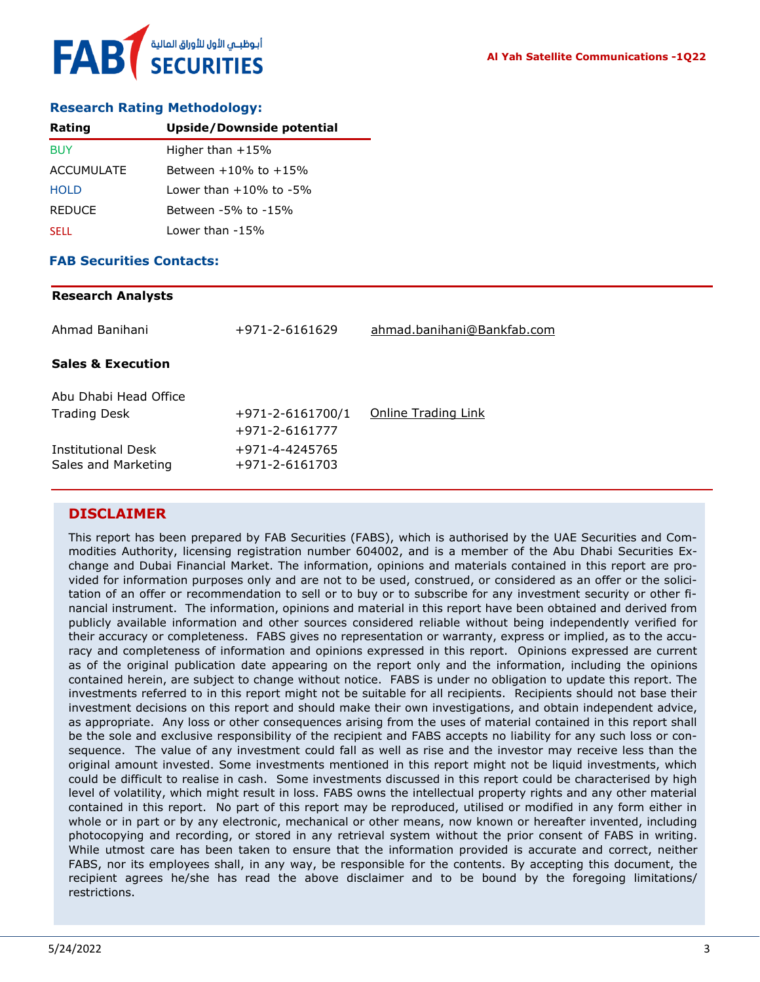#### **Research Rating Methodology:**

| Rating        | Upside/Downside potential       |
|---------------|---------------------------------|
| <b>BUY</b>    | Higher than $+15%$              |
| ACCUMULATE    | Between +10% to +15%            |
| <b>HOLD</b>   | $1$ ower than $+10\%$ to $-5\%$ |
| <b>REDUCE</b> | Between -5% to -15%             |
| <b>SELL</b>   | Lower than -15%                 |

#### **FAB Securities Contacts:**

#### **Research Analysts**

| Ahmad Banihani                               | +971-2-6161629                           | ahmad.banihani@Bankfab.com |
|----------------------------------------------|------------------------------------------|----------------------------|
| <b>Sales &amp; Execution</b>                 |                                          |                            |
| Abu Dhabi Head Office<br><b>Trading Desk</b> | $+971 - 2 - 6161700/1$<br>+971-2-6161777 | Online Trading Link        |
| Institutional Desk<br>Sales and Marketing    | +971-4-4245765<br>+971-2-6161703         |                            |

#### **DISCLAIMER**

This report has been prepared by FAB Securities (FABS), which is authorised by the UAE Securities and Commodities Authority, licensing registration number 604002, and is a member of the Abu Dhabi Securities Exchange and Dubai Financial Market. The information, opinions and materials contained in this report are provided for information purposes only and are not to be used, construed, or considered as an offer or the solicitation of an offer or recommendation to sell or to buy or to subscribe for any investment security or other financial instrument. The information, opinions and material in this report have been obtained and derived from publicly available information and other sources considered reliable without being independently verified for their accuracy or completeness. FABS gives no representation or warranty, express or implied, as to the accuracy and completeness of information and opinions expressed in this report. Opinions expressed are current as of the original publication date appearing on the report only and the information, including the opinions contained herein, are subject to change without notice. FABS is under no obligation to update this report. The investments referred to in this report might not be suitable for all recipients. Recipients should not base their investment decisions on this report and should make their own investigations, and obtain independent advice, as appropriate. Any loss or other consequences arising from the uses of material contained in this report shall be the sole and exclusive responsibility of the recipient and FABS accepts no liability for any such loss or consequence. The value of any investment could fall as well as rise and the investor may receive less than the original amount invested. Some investments mentioned in this report might not be liquid investments, which could be difficult to realise in cash. Some investments discussed in this report could be characterised by high level of volatility, which might result in loss. FABS owns the intellectual property rights and any other material contained in this report. No part of this report may be reproduced, utilised or modified in any form either in whole or in part or by any electronic, mechanical or other means, now known or hereafter invented, including photocopying and recording, or stored in any retrieval system without the prior consent of FABS in writing. While utmost care has been taken to ensure that the information provided is accurate and correct, neither FABS, nor its employees shall, in any way, be responsible for the contents. By accepting this document, the recipient agrees he/she has read the above disclaimer and to be bound by the foregoing limitations/ restrictions.